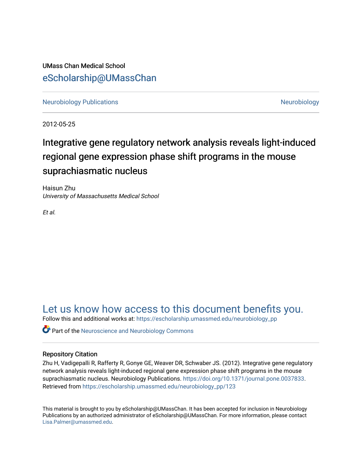UMass Chan Medical School [eScholarship@UMassChan](https://escholarship.umassmed.edu/) 

[Neurobiology Publications](https://escholarship.umassmed.edu/neurobiology_pp) **Neurobiology Neurobiology** 

2012-05-25

# Integrative gene regulatory network analysis reveals light-induced regional gene expression phase shift programs in the mouse suprachiasmatic nucleus

Haisun Zhu University of Massachusetts Medical School

Et al.

[Let us know how access to this document benefits you.](https://arcsapps.umassmed.edu/redcap/surveys/?s=XWRHNF9EJE) 

Follow this and additional works at: [https://escholarship.umassmed.edu/neurobiology\\_pp](https://escholarship.umassmed.edu/neurobiology_pp?utm_source=escholarship.umassmed.edu%2Fneurobiology_pp%2F123&utm_medium=PDF&utm_campaign=PDFCoverPages) 

**C** Part of the Neuroscience and Neurobiology Commons

# Repository Citation

Zhu H, Vadigepalli R, Rafferty R, Gonye GE, Weaver DR, Schwaber JS. (2012). Integrative gene regulatory network analysis reveals light-induced regional gene expression phase shift programs in the mouse suprachiasmatic nucleus. Neurobiology Publications. [https://doi.org/10.1371/journal.pone.0037833.](https://doi.org/10.1371/journal.pone.0037833) Retrieved from [https://escholarship.umassmed.edu/neurobiology\\_pp/123](https://escholarship.umassmed.edu/neurobiology_pp/123?utm_source=escholarship.umassmed.edu%2Fneurobiology_pp%2F123&utm_medium=PDF&utm_campaign=PDFCoverPages) 

This material is brought to you by eScholarship@UMassChan. It has been accepted for inclusion in Neurobiology Publications by an authorized administrator of eScholarship@UMassChan. For more information, please contact [Lisa.Palmer@umassmed.edu](mailto:Lisa.Palmer@umassmed.edu).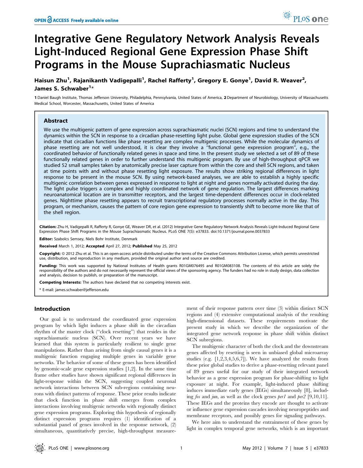# Integrative Gene Regulatory Network Analysis Reveals Light-Induced Regional Gene Expression Phase Shift Programs in the Mouse Suprachiasmatic Nucleus

Haisun Zhu<sup>1</sup>, Rajanikanth Vadigepalli<sup>1</sup>, Rachel Rafferty<sup>1</sup>, Gregory E. Gonye<sup>1</sup>, David R. Weaver<sup>2</sup>, James S. Schwaber<sup>1</sup>\*

1 Daniel Baugh Institute, Thomas Jefferson University, Philadelphia, Pennsylvania, United States of America, 2 Department of Neurobiology, University of Massachusetts Medical School, Worcester, Massachusetts, United States of America

## Abstract

We use the multigenic pattern of gene expression across suprachiasmatic nuclei (SCN) regions and time to understand the dynamics within the SCN in response to a circadian phase-resetting light pulse. Global gene expression studies of the SCN indicate that circadian functions like phase resetting are complex multigenic processes. While the molecular dynamics of phase resetting are not well understood, it is clear they involve a ''functional gene expression program'', e.g., the coordinated behavior of functionally related genes in space and time. In the present study we selected a set of 89 of these functionally related genes in order to further understand this multigenic program. By use of high-throughput qPCR we studied 52 small samples taken by anatomically precise laser capture from within the core and shell SCN regions, and taken at time points with and without phase resetting light exposure. The results show striking regional differences in light response to be present in the mouse SCN. By using network-based analyses, we are able to establish a highly specific multigenic correlation between genes expressed in response to light at night and genes normally activated during the day. The light pulse triggers a complex and highly coordinated network of gene regulation. The largest differences marking neuroanatomical location are in transmitter receptors, and the largest time-dependent differences occur in clock-related genes. Nighttime phase resetting appears to recruit transcriptional regulatory processes normally active in the day. This program, or mechanism, causes the pattern of core region gene expression to transiently shift to become more like that of the shell region.

Citation: Zhu H, Vadigepalli R, Rafferty R, Gonye GE, Weaver DR, et al. (2012) Integrative Gene Regulatory Network Analysis Reveals Light-Induced Regional Gene Expression Phase Shift Programs in the Mouse Suprachiasmatic Nucleus. PLoS ONE 7(5): e37833. doi:10.1371/journal.pone.0037833

Editor: Szabolcs Semsey, Niels Bohr Institute, Denmark

Received March 1, 2012; Accepted April 27, 2012; Published May 25, 2012

**Copyright:** © 2012 Zhu et al. This is an open-access article distributed under the terms of the Creative Commons Attribution License, which permits unrestricted use, distribution, and reproduction in any medium, provided the original author and source are credited.

Funding: This work was supported by National Institutes of Health grants R01GM076495 and R01GM083108. The contents of this article are solely the responsibility of the authors and do not necessarily represent the official views of the sponsoring agency. The funders had no role in study design, data collection and analysis, decision to publish, or preparation of the manuscript.

Competing Interests: The authors have declared that no competing interests exist.

\* E-mail: james.schwaber@jefferson.edu

## Introduction

Our goal is to understand the coordinated gene expression program by which light induces a phase shift in the circadian rhythm of the master clock (''clock resetting'') that resides in the suprachiasmatic nucleus (SCN). Over recent years we have learned that this system is particularly resilient to single gene manipulations. Rather than arising from single causal genes it is a multigenic function engaging multiple genes in variable gene networks. The behavior of some of these genes has been identified by genomic-scale gene expression studies [1,2]. In the same time frame other studies have shown significant regional differences in light-response within the SCN, suggesting coupled neuronal network interactions between SCN sub-regions containing neurons with distinct patterns of response. These prior results indicate that clock function in phase shift emerges from complex interactions involving multigenic networks with regionally distinct gene expression programs. Exploring this hypothesis of regionally distinct expression programs requires (1) identification of a substantial panel of genes involved in the response network, (2) simultaneous, quantitatively precise, high-throughput measure-

ment of their response pattern over time (3) within distinct SCN regions and (4) extensive computational analysis of the resulting high-dimensional datasets. These requirements motivate the present study in which we describe the organization of the integrated gene network response in phase shift within distinct SCN subregions.

The multigenic character of both the clock and the downstream genes affected by resetting is seen in unbiased global microarray studies (e.g. [1,2,3,4,5,6,7]). We have analyzed the results from these prior global studies to derive a phase-resetting relevant panel of 89 genes useful for our study of their integrated network behavior as a gene expression program for phase-shifting to light exposure at night. For example, light-induced phase shifting induces immediate early genes (IEGs) simultaneously [8], including fos and jun, as well as the clock genes per1 and per2 [9,10,11]. These IEGs and the proteins they encode are thought to activate or influence gene expression cascades involving neuropeptides and membrane receptors, and possibly genes for signaling pathways.

We here aim to understand the entrainment of these genes by light in complex temporal gene networks, which is an important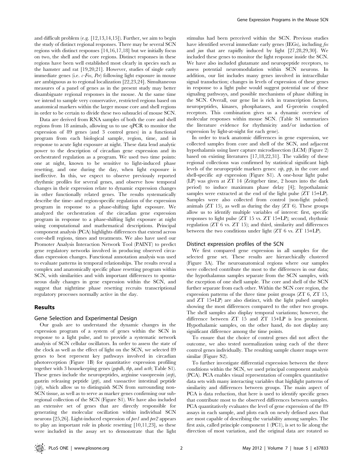and difficult problem (e.g. [12,13,14,15]). Further, we aim to begin the study of distinct regional responses. There may be several SCN regions with distinct responses [14,16,17,18] but we initially focus on two, the shell and the core regions. Distinct responses in these regions have been well established most clearly in species such as the hamster and rat [19,20,21]. However, studies of single early immediate genes (i.e. c-Fos, Per) following light exposure in mouse are ambiguous as to regional localization [22,23,24]. Simultaneous measures of a panel of genes as in the present study may better disambiguate regional responses in the mouse. At the same time we intend to sample very conservative, restricted regions based on anatomical markers within the larger mouse core and shell regions in order to be certain to divide these two subnuclei of mouse SCN.

Data are derived from RNA samples of both the core and shell regions from 18 animals, allowing us to use qPCR to monitor the expression of 89 genes (and 3 control genes) in a functional program from each biological sample, region, time, and in response to acute light exposure at night. These data lend analytic power to the description of circadian gene expression and its orchestrated regulation as a program. We used two time points: one at night, known to be sensitive to light-induced phase resetting, and one during the day, when light exposure is ineffective. In this, we expect to observe previously reported rhythmic profiles for several genes, and observe how temporal changes in their expression relate to dynamic expression changes in other functionally related genes. The results systematically describe the time- and region-specific regulation of the expression program in response to a phase-shifting light exposure. We analyzed the orchestration of the circadian gene expression program in response to a phase-shifting light exposure at night using computational and mathematical descriptions. Principal component analysis (PCA) highlights differences that extend across core-shell regions, times and treatments. We also have used our Promoter Analysis Interaction Network Tool (PAINT) to predict gene regulatory networks involved in producing observed circadian expression changes. Functional annotation analysis was used to evaluate patterns in temporal relationships. The results reveal a complex and anatomically specific phase resetting program within SCN, with similarities and with important differences to spontaneous daily changes in gene expression within the SCN, and suggest that nighttime phase resetting recruits transcriptional regulatory processes normally active in the day.

### Results

#### Gene Selection and Experimental Design

Our goals are to understand the dynamic changes in the expression program of a system of genes within the SCN in response to a light pulse, and to provide a systematic network analysis of SCN cellular oscillators. In order to assess the state of the clock as well as the effect of light on the SCN, we selected 89 genes to best represent key pathways involved in circadian photoreception (Figure 1B) for quantitative expression profiling together with 3 housekeeping genes (gapdh, tbp, and actb; Table S1). These genes include the neuropeptides, arginine vasopressin (avp), gastrin releasing peptide (grp), and vasoactive intestinal peptide  $(vip)$ , which allow us to distinguish SCN from surrounding non-SCN tissue, as well as to serve as marker genes confirming our subregional collection of the SCN (Figure S1). We have also included an extensive set of genes that are directly responsible for generating the molecular oscillation within individual SCN neurons [25,26]. Light-induced expression of per1 and per2 appears to play an important role in photic resetting [10,11,23], so these were included in the assay set to demonstrate that the light

stimulus had been perceived within the SCN. Previous studies have identified several immediate early genes (IEGs), including fos and jun that are rapidly induced by light [27,28,29,30]. We included these genes to monitor the light response inside the SCN. We have also included glutamate and neuropeptide receptors, to assess potential neuromodulation within SCN neurons. In addition, our list includes many genes involved in intracellular signal transduction; changes in levels of expression of these genes in response to a light pulse would suggest potential use of these signaling pathways, and possible mechanisms of phase shifting in the SCN. Overall, our gene list is rich in transcription factors, neuropeptides, kinases, phosphatases, and G-protein coupled receptors. This combination gives us a dynamic overview of molecular responses within mouse SCN. (Table S1 summarizes the literature evidence for rhythmicity and/or induction of expression by light-at-night for each gene).

In order to track anatomic differences in gene expression, we collected samples from core and shell of the SCN, and adjacent hypothalamis using laser capture microdissection (LCM) (Figure 2) based on existing literatures [17,18,22,31]. The validity of these regional collections was confirmed by statistical significant high levels of the neuropeptide markers genes: vip, grp, in the core and shell-specific *avp* expression (Figure S1). A one-hour light pulse (LP) was given at ZT 14 (Zeitgeber time, 2 hours into the dark period) to induce maximum phase delay [4]; hypothalamic samples were extracted at the end of the light pulse (ZT 15+LP). Samples were also collected from control (non-light pulsed) animals (ZT 15), as well as during the day (ZT 6). These groups allow us to identify multiple variables of interest: first, specific responses to light pulse (ZT 15 vs. ZT 15+LP); second, rhythmic regulation (ZT 6 vs. ZT 15); and third, similarity and differences between the two conditions under light (ZT 6 vs. ZT 15+LP).

#### Distinct expression profiles of the SCN

We first compared gene expression in all samples for the selected gene set. These results are hierarchically clustered (Figure 3A). The neuroanatomical regions where our samples were collected contribute the most to the differences in our data; the hypothalamus samples separate from the SCN samples, with the exception of one shell sample. The core and shell of the SCN further separate from each other. Within the SCN core region, the expression patterns of the three time point groups (ZT 6, ZT 15, and ZT 15+LP) are also distinct, with the light pulsed samples showing the most differences compared to the other two groups. The shell samples also display temporal variations; however, the difference between ZT 15 and ZT 15+LP is less prominent. Hypothalamic samples, on the other hand, do not display any significant difference among the time points.

To ensure that the choice of control genes did not affect the outcome, we also tested normalization using each of the three control genes individually. The resulting sample cluster maps were similar (Figure S2).

To further investigate differential expression between the three conditions within the SCN, we used principal component analysis (PCA). PCA enables visual representation of complex quantitative data sets with many interacting variables that highlight patterns of similarity and differences between groups. The main aspect of PCA is data reduction, that here is used to identify specific genes that contribute most to the observed differences between samples. PCA quantitatively evaluates the level of gene expression of the 89 assays in each sample, and plots each on newly defined axes that are most capable of describing the variability among samples. The first axis, called principle component 1 (PC1), is set to lie along the direction of most variation, and the original data are rotated so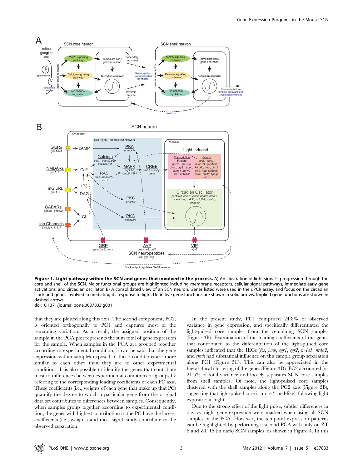

Clock output regulates GABA release

Figure 1. Light pathway within the SCN and genes that involved in the process. A) An illustration of light signal's progression through the core and shell of the SCN. Major functional groups are highlighted including membrane receptors, cellular signal pathways, immediate early gene activations, and circadian oscillator. B) A consolidated view of an SCN neuron. Genes listed were used in the qPCR assay, and focus on the circadian clock and genes involved in mediating its response to light. Definitive gene functions are shown in solid arrows. Implied gene functions are shown in dashed arrows.

doi:10.1371/journal.pone.0037833.g001

that they are plotted along this axis. The second component, PC2, is oriented orthogonally to PC1 and captures most of the remaining variation. As a result, the assigned position of the sample in the PCA plot represents the sum total of gene expression for the sample. When samples in the PCA are grouped together according to experimental condition, it can be said that the gene expression within samples exposed to those conditions are more similar to each other than they are to other experimental conditions. It is also possible to identify the genes that contribute most to differences between experimental conditions or groups by referring to the corresponding loading coefficients of each PC axis. These coefficients (i.e., weights of each gene that make up that PC) quantify the degree to which a particular gene from the original data set contributes to differences between samples. Consequently, when samples group together according to experimental condition, the genes with highest contribution to the PC have the largest coefficients (i.e., weights) and most significantly contribute to the observed separation.

In the present study, PC1 comprised 24.8% of observed variance in gene expression, and specifically differentiated the light-pulsed core samples from the remaining SCN samples (Figure 3B). Examination of the loading coefficients of the genes that contributed to the differentiation of the light-pulsed core samples indicated that the IEGs (fos, junb, egr1, egr2, nr4a1, nr4a2, and rrad) had substantial influence on this sample group separation along PC1 (Figure 3C). This can also be appreciated in the hierarchical clustering of the genes (Figure 3D). PC2 accounted for 21.5% of total variance and loosely separates SCN core samples from shell samples. Of note, the light-pulsed core samples clustered with the shell samples along the PC2 axis (Figure 3B), suggesting that light-pulsed core is more ''shell-like'' following light exposure at night.

Due to the strong effect of the light pulse, subtler differences in day vs. night gene expression were masked when using all SCN samples in the PCA. However, the temporal expression patterns can be highlighted by performing a second PCA with only on ZT 6 and ZT 15 (in dark) SCN samples, as shown in Figure 4. In this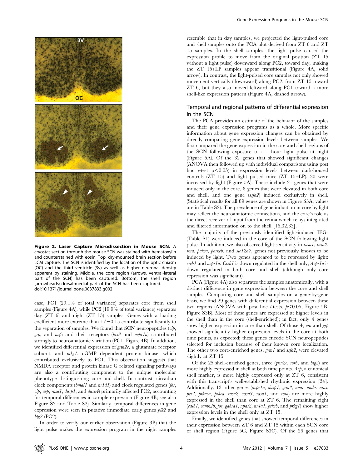

Figure 2. Laser Capture Microdissection in Mouse SCN. A cryostat section through the mouse SCN was stained with hematoxylin and counterstained with eosin. Top, dry-mounted brain section before LCM capture. The SCN is identified by the location of the optic chiasm (OC) and the third ventricle (3v) as well as higher neuronal density apparent by staining. Middle, the core region (arrows, ventral-lateral part of the SCN) has been captured. Bottom, the shell region (arrowheads; dorsal-medial part of the SCN has been captured. doi:10.1371/journal.pone.0037833.g002

case, PC1 (29.1% of total variance) separates core from shell samples (Figure 4A), while PC2 (19.9% of total variance) separates day (ZT 6) and night (ZT 15) samples. Genes with a loading coefficient more extreme than  $+/-0.15$  contribute significantly to the separation of samples. We found that SCN neuropeptides  $(vip,$  $g\eta$ , and  $a\nu p$ ) and their receptors (brs3 and  $a\nu prla$ ) contributed strongly to neuroanatomic variation (PC1, Figure 4B). In addition, we identified differential expression of  $\text{grin2c}$ , a glutamate receptor subunit, and *prkg1*, cGMP dependent protein kinase, which contributed exclusively to PC1. This observation suggests that NMDA receptor and protein kinase G related signaling pathways are also a contributing component to the unique molecular phenotype distinguishing core and shell. In contrast, circadian clock components (bmal1 and nr1d1) and clock regulated genes (fos, *vip, avp, rasd1, dusp1*, and *dusp4*) primarily affected PC2, accounting for temporal differences in sample expression (Figure 4B; see also Figure S3 and Table S2). Similarly, temporal differences in gene expression were seen in putative immediate early genes plk2 and btg2 (PC2).

In order to verify our earlier observation (Figure 3B) that the light pulse makes the expression program in the night samples

resemble that in day samples, we projected the light-pulsed core and shell samples onto the PCA plot derived from ZT 6 and ZT 15 samples. In the shell samples, the light pulse caused the expression profile to move from the original position (ZT 15 without a light pulse) downward along PC2, toward day, making the ZT 15+LP samples appear transitional (Figure 4A, solid arrow). In contrast, the light-pulsed core samples not only showed movement vertically (downward) along PC2, from ZT 15 toward ZT 6, but they also moved leftward along PC1 toward a more shell-like expression pattern (Figure 4A, dashed arrow).

## Temporal and regional patterns of differential expression in the SCN

The PCA provides an estimate of the behavior of the samples and their gene expression programs as a whole. More specific information about gene expression changes can be obtained by directly comparing gene expression levels between samples. We first compared the gene expression in the core and shell regions of the SCN following exposure to a 1-hour light pulse at night (Figure 5A). Of the 32 genes that showed significant changes (ANOVA then followed up with individual comparisons using post hoc t-test  $p<0.05$ ) in expression levels between dark-housed controls (ZT 15) and light pulsed mice (ZT 15+LP), 30 were increased by light (Figure 5A). These include 21 genes that were induced only in the core, 8 genes that were elevated in both core and shell, and one gene (ssfa2) induced exclusively in shell. (Statistical results for all 89 genes are shown in Figure S3A; values are in Table S2). The prevalence of gene induction in core by light may reflect the neuroanatomic connections, and the core's role as the direct receiver of input from the retina which relays integrated and filtered information on to the shell [16,32,33].

The majority of the previously identified light-induced IEGs (Table S1) were induced in the core of the SCN following light pulse. In addition, we also observed light-sensitivity in rasa1, rasa2, rora, pakca, parkcb, and slc12a7, genes not previously known to be induced by light. Two genes appeared to be repressed by light:  $\emph{creb1}$  and  $\emph{avpr1a}$ . Creb1 is down regulated in the shell only;  $\emph{Avpr1a}$  is down regulated in both core and shell (although only core repression was significant).

PCA (Figure 4A) also separates the samples anatomically, with a distinct difference in gene expression between the core and shell samples. Comparing core and shell samples on a gene-by-gene basis, we find 29 genes with differential expression between these two regions (ANOVA with post hoc *t*-tests,  $p$ <0.05, Figure 5B, Figure S3B). Most of these genes are expressed at higher levels in the shell than in the core (shell-enriched); in fact, only 4 genes show higher expression in core than shell. Of those 4,  $v\psi$  and grp showed significantly higher expression levels in the core at both time points, as expected; these genes encode SCN neuropeptides selected for inclusion because of their known core localization. The other two core-enriched genes, grm1 and ssfa2, were elevated slightly at ZT 15.

Of the 25 shell-enriched genes, three  $(gnn2c, rorb,$  and  $btg2$  are more highly expressed in shell at both time points.  $A v p$ , a canonical shell marker, is more highly expressed only at ZT 6, consistent with this transcript's well-established rhythmic expression [34]. Additionally, 13 other genes (avpr1a, dusp1, gria2, nnat, nmbr, nras, per2, prkaca, prkca, rasa2, rasa3, rasd1, and rora) are more highly expressed in the shell than core at ZT 6. The remaining eight  $(calb1, camk2b, fos, gabra1, npas2, nr4a1, prkcb, and prkg1) show higher$ expression levels in the shell only at ZT 15.

Finally, we identified genes that showed temporal differences in their expression between ZT 6 and ZT 15 within each SCN core or shell region (Figure 5C, Figure S3C). Of the 26 genes that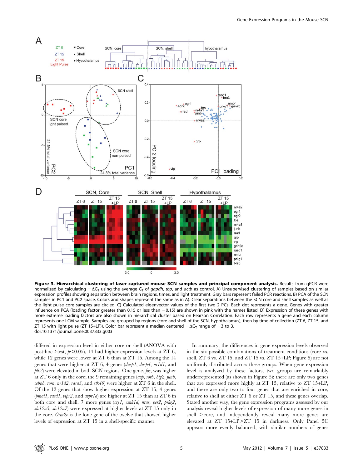

Figure 3. Hierarchical clustering of laser captured mouse SCN samples and principal component analysis. Results from qPCR were normalized by calculating  $-\Delta C_{\tau}$  using the average  $C_{\tau}$  of *gapdh, tbp,* and *actb* as control. A) Unsupervised clustering of samples based on similar expression profiles showing separation between brain regions, times, and light treatment. Gray bars represent failed PCR reactions. B) PCA of the SCN samples in PC1 and PC2 space. Colors and shapes represent the same as in A). Clear separations between the SCN core and shell samples as well as the light pulse core samples are circled. C) Calculated eigenvector values of the first two 2 PCs. Each dot represents a gene. Genes with greater influence on PCA (loading factor greater than 0.15 or less than -0.15) are shown in pink with the names listed. D) Expression of these genes with more extreme loading factors are also shown in hierarchical cluster based on Pearson Correlation. Each row represents a gene and each column represents one LCM sample. Samples are grouped by regions (core and shell of the SCN, hypothalamus), then by time of collection (ZT 6, ZT 15, and ZT 15 with light pulse (ZT 15+LP)). Color bar represent a median centered  $-\Delta C_T$  range of  $-3$  to 3. doi:10.1371/journal.pone.0037833.g003

differed in expression level in either core or shell (ANOVA with post-hoc *t*-test,  $p<0.05$ ), 14 had higher expression levels at ZT 6, while 12 genes were lower at ZT 6 than at ZT 15. Among the 14 genes that were higher at ZT 6, 4 genes (dusp1, dusp4, nr1d1, and  $plk2$ ) were elevated in both SCN regions. One gene, fos, was higher at ZT 6 only in the core; the 9 remaining genes (avp, rorb, btg2, junb,  $cebpb$ , rora,  $nrld2$ , rasa3, and  $stk40$ ) were higher at  $ZT$  6 in the shell. Of the 12 genes that show higher expression at ZT 15, 4 genes  $(bmall, rasdl, vipr2,$  and  $avpr1a$ ) are higher at  $ZT$  15 than at  $ZT$  6 in both core and shell. 7 more genes (cry1, csnk1d, nras, per2, prkg2, slc12a5, slc12a7) were expressed at higher levels at ZT 15 only in the core.  $G\dot{n}n2c$  is the lone gene of the twelve that showed higher levels of expression at ZT 15 in a shell-specific manner.

In summary, the differences in gene expression levels observed in the six possible combinations of treatment conditions (core vs. shell, ZT 6 vs. ZT 15, and ZT 15 vs. ZT 15+LP; Figure 5) are not uniformly distributed across these groups. When gene expression level is analyzed by these factors, two groups are remarkably underrepresented (as shown in Figure 5): there are only two genes that are expressed more highly at ZT 15, relative to ZT 15+LP, and there are only two to four genes that are enriched in core, relative to shell at either ZT 6 or ZT 15, and these genes overlap. Stated another way, the gene expression programs assessed by our analysis reveal higher levels of expression of many more genes in shell  $\geq$ core, and independently reveal many more genes are elevated at ZT 15+LP>ZT 15 in darkness. Only Panel 5C appears more evenly balanced, with similar numbers of genes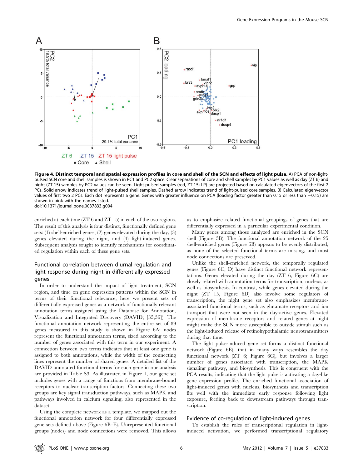

Figure 4. Distinct temporal and spatial expression profiles in core and shell of the SCN and effects of light pulse. A) PCA of non-lightpulsed SCN core and shell samples is shown in PC1 and PC2 space. Clear separations of core and shell samples by PC1 values as well as day (ZT 6) and night (ZT 15) samples by PC2 values can be seen. Light pulsed samples (red, ZT 15+LP) are projected based on calculated eigenvectors of the first 2 PCs. Solid arrow indicates trend of light-pulsed shell samples. Dashed arrow indicates trend of light-pulsed core samples. B) Calculated eigenvector values of first two 2 PCs. Each dot represents a gene. Genes with greater influence on PCA (loading factor greater than 0.15 or less than -0.15) are shown in pink with the names listed. doi:10.1371/journal.pone.0037833.g004

enriched at each time (ZT 6 and ZT 15) in each of the two regions. The result of this analysis is four distinct, functionally defined gene sets: (1) shell-enriched genes, (2) genes elevated during the day, (3) genes elevated during the night, and (4) light-induced genes. Subsequent analysis sought to identify mechanisms for coordinated regulation within each of these gene sets.

## Functional correlation between diurnal regulation and light response during night in differentially expressed genes

In order to understand the impact of light treatment, SCN region, and time on gene expression patterns within the SCN in terms of their functional relevance, here we present sets of differentially expressed genes as a network of functionally relevant annotation terms assigned using the Database for Annotation, Visualization and Integrated Discovery (DAVID; [35,36]). The functional annotation network representing the entire set of 89 genes measured in this study is shown in Figure 6A; nodes represent the functional annotation terms, sized according to the number of genes associated with this term in our experiment. A connection between two terms indicates that at least one gene is assigned to both annotations, while the width of the connecting lines represent the number of shared genes. A detailed list of the DAVID annotated functional terms for each gene in our analysis are provided in Table S3. As illustrated in Figure 1, our gene set includes genes with a range of functions from membrane-bound receptors to nuclear transcription factors. Connecting these two groups are key signal transduction pathways, such as MAPK and pathways involved in calcium signaling, also represented in the dataset.

Using the complete network as a template, we mapped out the functional annotation network for four differentially expressed gene sets defined above (Figure 6B–E). Unrepresented functional groups (nodes) and node connections were removed. This allows us to emphasize related functional groupings of genes that are differentially expressed in a particular experimental condition.

Many genes among those analyzed are enriched in the SCN shell (Figure 5B). The functional annotation network of the 25 shell-enriched genes (Figure 6B) appears to be evenly distributed, as none of the selected functional terms are missing, and most node connections are preserved.

Unlike the shell-enriched network, the temporally regulated genes (Figure 6C, D) have distinct functional network representations. Genes elevated during the day (ZT 6, Figure 6C) are closely related with annotation terms for transcription, nucleus, as well as biosynthesis. In contrast, while genes elevated during the night (ZT 15, Figure 6D) also involve some regulators of transcription, the night gene set also emphasizes membraneassociated functional terms, such as glutamate receptors and ion transport that were not seen in the day-active genes. Elevated expression of membrane receptors and related genes at night might make the SCN more susceptible to outside stimuli such as the light-induced release of retinohypothalamic neurotransmitters during that time.

The light pulse-induced gene set forms a distinct functional network (Figure 6E), that in many ways resembles the day functional network (ZT 6; Figure 6C), but involves a larger number of genes associated with transcription, the MAPK signaling pathway, and biosynthesis. This is congruent with the PCA results, indicating that the light pulse is activating a day-like gene expression profile. The enriched functional association of light-induced genes with nucleus, biosynthesis and transcription fits well with the immediate early response following light exposure, feeding back to downstream pathways through transcription.

### Evidence of co-regulation of light-induced genes

To establish the roles of transcriptional regulation in lightinduced activation, we performed transcriptional regulatory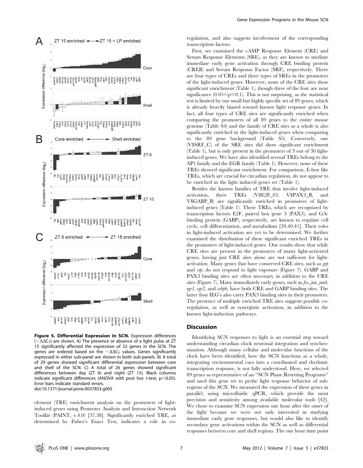

Figure 5. Differential Expression in SCN. Expression differences  $(-\Delta\Delta C_T)$  are shown. A) The presence or absence of a light pulse at ZT 15 significantly affected the expression of 32 genes in the SCN. The genes are ordered based on the  $-\Delta\Delta C_T$  values. Genes significantly expressed in either sub-panel are shown in both sub-panels. B) A total of 29 genes showed significant differential expression between core and shell of the SCN. C) A total of 26 genes showed significant differences between day (ZT 6) and night (ZT 15). Black columns indicate significant differences (ANOVA with post hoc *t*-test,  $p<0.05$ ). Error bars indicate standard errors. doi:10.1371/journal.pone.0037833.g005

element (TRE) enrichment analysis on the promoters of lightinduced genes using Promoter Analysis and Interaction Network Toolkit (PAINT, v.4.0) [37,38]. Significantly enriched TRE, as determined by Fisher's Exact Test, indicates a role in coregulation, and also suggests involvement of the corresponding transcription factors.

First, we examined the cAMP Response Element (CRE) and Serum Response Elements (SRE), as they are known to mediate immediate early gene activation through CRE binding protein (CREB) and Serum Response Factor (SRF), respectively. There are four types of CREs and three types of SREs in the promoters of the light-induced genes. However, none of the CRE sites show significant enrichment (Table 1), though three of the four are near significance  $(0.05\leq p\leq0.1)$ . This is not surprising, as the statistical test is limited by our small but highly specific set of 89 genes, which is already heavily biased toward known light response genes. In fact, all four types of CRE sites are significantly enriched when comparing the promoters of all 89 genes to the entire mouse genome (Table S4) and the family of CRE sites as a whole is also significantly enriched in the light-induced genes when comparing to the 89 gene background (Table S5). Conversely, one (V\$SRF\_C) of the SRE sites did show significant enrichment (Table 1), but is only present in the promoters of 3 out of 30 lightinduced genes. We have also identified several TREs belong to the AP1 family and the EGR family (Table 1). However, none of these TREs showed significant enrichment. For comparison, E-box like TREs, which are crucial for circadian regulation, do not appear to be enriched in the light induced genes set (Table 1).

Besides the known families of TRE that involve light-induced activation, three TREs (V\$E2F\_03, V\$PAX3\_B, and V\$GABP\_B) are significantly enriched in promoters of lightinduced genes (Table 1). These TREs, which are recognized by transcription factors E2F, paired box gene 3 (PAX3), and GAbinding protein (GABP), respectively, are known to regulate cell cycle, cell differentiation, and metabolism [39,40,41]. Their roles in light-induced activation are yet to be determined. We further examined the distribution of these significant enriched TREs in the promoters of light-induced genes. Our results show that while CRE sites are present in the promoters of many light-activated genes, having just CRE sites alone are not sufficient for lightactivation. Many genes that have conserved CRE sites, such as grp and vip, do not respond to light exposure (Figure 7). GABP and PAX3 binding sites are often necessary in addition to the CRE sites (Figure 7). Many immediately early genes, such as fos, jun, junb, egr1, egr2, and cebpb, have both CRE and GABP binding sites. The latter four IEG's also carry PAX3 binding sites in their promoters. The presence of multiple enriched TRE sites suggests possible coregulation, as well as synergistic activation, in addition to the known light-induction pathways.

#### Discussion

Identifying SCN responses to light is an essential step toward understanding circadian clock neuronal integration and synchronization. Although many cellular and molecular functions of the clock have been identified, how the SCN functions as a whole, integrating environmental cues into a coordinated and rhythmic transcription response, is not fully understood. Here, we selected 89 genes as representative of an ''SCN Phase Resetting Programs'' and used this gene set to probe light response behavior of subregions of the SCN. We measured the expression of these genes in parallel, using microfluidic qPCR, which provide the most precision and sensitivity among available molecular tools [42]. We chose to examine SCN expression one hour after the onset of the light because we were not only interested in studying immediate early gene responses, but would also like to identify secondary gene activations within the SCN as well as differential responses between core and shell regions. The one hour time point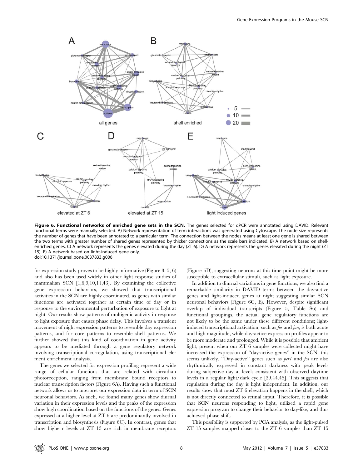

Figure 6. Functional networks of enriched gene sets in the SCN. The genes selected for qPCR were annotated using DAVID. Relevant functional terms were manually selected. A) Network representation of term interactions was generated using Cytoscape. The node size represents the number of genes that have been annotated to a particular term. The connection between the nodes means at least one gene is shared between the two terms with greater number of shared genes represented by thicker connections as the scale bars indicated. B) A network based on shellenriched genes. C) A network represents the genes elevated during the day (ZT 6). D) A network represents the genes elevated during the night (ZT 15). E) A network based on light-induced gene only. doi:10.1371/journal.pone.0037833.g006

for expression study proves to be highly informative (Figure 3, 5, 6) and also has been used widely in other light response studies of mammalian SCN [1,6,9,10,11,43]. By examining the collective gene expression behaviors, we showed that transcriptional activities in the SCN are highly coordinated, as genes with similar functions are activated together at certain time of day or in response to the environmental perturbation of exposure to light at night. Our results show patterns of multigenic activity in response to light exposure that causes phase delay. This involves a transient movement of night expression patterns to resemble day expression patterns, and for core patterns to resemble shell patterns. We further showed that this kind of coordination in gene activity appears to be mediated through a gene regulatory network involving transcriptional co-regulation, using transcriptional element enrichment analysis.

The genes we selected for expression profiling represent a wide range of cellular functions that are related with circadian photoreception, ranging from membrane bound receptors to nuclear transcription factors (Figure 6A). Having such a functional network allows us to interpret our expression data in term of SCN neuronal behaviors. As such, we found many genes show diurnal variation in their expression levels and the peaks of the expression show high coordination based on the functions of the genes. Genes expressed at a higher level at ZT 6 are predominantly involved in transcription and biosynthesis (Figure 6C). In contrast, genes that show highe r levels at ZT 15 are rich in membrane receptors

(Figure 6D), suggesting neurons at this time point might be more susceptible to extracellular stimuli, such as light exposure.

In addition to diurnal variations in gene functions, we also find a remarkable similarity in DAVID terms between the day-active genes and light-induced genes at night suggesting similar SCN neuronal behaviors (Figure 6C, E). However, despite significant overlap of individual transcripts (Figure 5, Table S6) and functional groupings, the actual gene regulatory functions are not likely to be the same under these different conditions; lightinduced transcriptional activation, such as fos and jun, is both acute and high magnitude, while day-active expression profiles appear to be more moderate and prolonged. While it is possible that ambient light, present when our ZT 6 samples were collected might have increased the expression of ''day-active genes'' in the SCN, this seems unlikely. "Day-active" genes such as per1 and fos are also rhythmically expressed in constant darkness with peak levels during subjective day at levels consistent with observed daytime levels in a regular light/dark cycle [29,44,45]. This suggests that regulation during the day is light independent. In addition, our results show that most ZT 6 elevation happens in the shell, which is not directly connected to retinal input. Therefore, it is possible that SCN neurons responding to light, utilized a rapid gene expression program to change their behavior to day-like, and thus achieved phase shift.

This possibility is supported by PCA analysis, as the light-pulsed ZT 15 samples mapped closer to the ZT 6 samples than ZT 15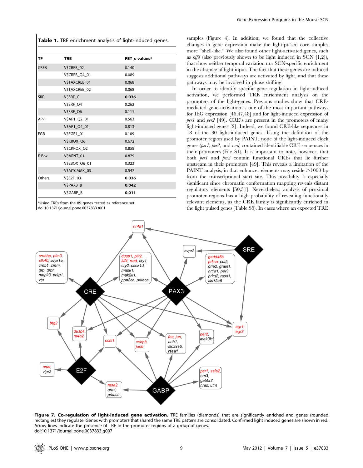Table 1. TRE enrichment analysis of light-induced genes.

| TF          | <b>TRE</b>           | FET p-values* |
|-------------|----------------------|---------------|
| <b>CREB</b> | V\$CREB 02           | 0.140         |
|             | <b>V\$CREB Q4 01</b> | 0.089         |
|             | V\$TAXCREB_01        | 0.068         |
|             | V\$TAXCREB 02        | 0.068         |
| <b>SRF</b>  | V\$SRF_C             | 0.036         |
|             | V\$SRF_Q4            | 0.262         |
|             | V\$SRF_Q6            | 0.111         |
| $AP-1$      | V\$AP1_Q2_01         | 0.563         |
|             | V\$AP1_Q4_01         | 0.813         |
| <b>EGR</b>  | V\$EGR1_01           | 0.109         |
|             | V\$KROX_Q6           | 0.672         |
|             | V\$CKROX_Q2          | 0.858         |
| E-Box       | V\$ARNT_01           | 0.879         |
|             | V\$EBOX_Q6_01        | 0.323         |
|             | V\$MYCMAX_03         | 0.547         |
| Others      | V\$E2F_03            | 0.036         |
|             | V\$PAX3_B            | 0.042         |
|             | V\$GABP B            | 0.011         |

\*Using TREs from the 89 genes tested as reference set. doi:10.1371/journal.pone.0037833.t001

samples (Figure 4). In addition, we found that the collective changes in gene expression make the light-pulsed core samples more ''shell-like.'' We also found other light-activated genes, such as klf4 (also previously shown to be light induced in SCN [1,2]), that show neither temporal variation nor SCN-specific enrichment in the absence of light input. The fact that these genes are induced suggests additional pathways are activated by light, and that these pathways may be involved in phase shifting.

In order to identify specific gene regulation in light-induced activation, we performed TRE enrichment analysis on the promoters of the light-genes. Previous studies show that CREmediated gene activation is one of the most important pathways for IEG expression [46,47,48] and for light-induced expression of per1 and per2 [49]. CRE's are present in the promoters of many light-induced genes [2]. Indeed, we found CRE-like sequences in 18 of the 30 light-induced genes. Using the definition of the promoter region used by PAINT, none of the light-induced clock genes (per1, per2, and rora) contained identifiable CRE sequences in their promoters (File S1). It is important to note, however, that both per1 and per2 contain functional CREs that lie further upstream in their promoters [49]. This reveals a limitation of the PAINT analysis, in that enhancer elements may reside  $>1000$  bp from the transcriptional start site. This possibility is especially significant since chromatin conformation mapping reveals distant regulatory elements [50,51]. Nevertheless, analysis of proximal promoter regions has a high probability of revealing functionally relevant elements, as the CRE family is significantly enriched in the light pulsed genes (Table S5). In cases where an expected TRE



Figure 7. Co-regulation of light-induced gene activation. TRE families (diamonds) that are significantly enriched and genes (rounded rectangles) they regulate. Genes with promoters that shared the same TRE pattern are consolidated. Confirmed light induced genes are shown in red. Arrow lines indicate the presence of TRE in the promoter regions of a group of genes. doi:10.1371/journal.pone.0037833.g007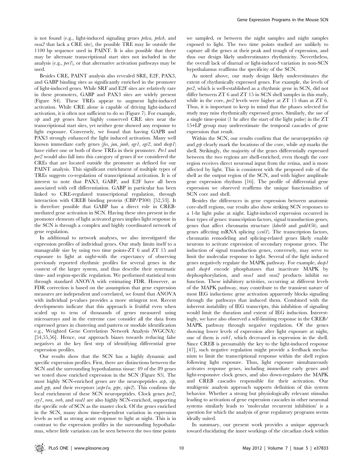is not found (e.g., light-induced signaling genes prkca, prkcb, and rasa2 that lack a CRE site), the possible TRE may lie outside the 1100 bp sequence used in PAINT. It is also possible that there may be alternate transcriptional start sites not included in the analysis (e.g., per1), or that alternative activation pathways may be used.

Besides CRE, PAINT analysis also revealed SRE, E2F, PAX3, and GABP binding sites as significantly enriched in the promoter of light-induced genes. While SRF and E2F sites are relatively rare in these promoters, GABP and PAX3 sites are widely present (Figure S4). These TREs appear to augment light-induced activation. While CRE alone is capable of driving light-induced activation, it is often not sufficient to do so (Figure 7). For example, vip and grp genes have highly conserved CRE sites near the transcriptional start sites, yet neither gene showed any response to light exposure. Conversely, we found that having GAPB and PAX3 strongly enhanced the light induced activation. Many well known immediate early genes (fos, jun, junb, egr1, egr2, and dusp1) have either one or both of these TREs in their promoter. Per1 and per2 would also fall into this category of genes if we considered the CREs that are located outside the promoter as defined for our PAINT analysis. This significant enrichment of multiple types of TREs suggests co-regulation of transcriptional activation. It is of interest to note that PAX3, GABP, and E2F have all been associated with cell differentiation. GABP in particular has been linked to CRE-regulated transcriptional regulation, through interaction with CREB binding protein (CBP/P300) [52,53]. It is therefore possible that GABP has a direct role in CREBmediated gene activation in SCN. Having these sites present in the promoter elements of light activated genes implies light response in the SCN is through a complex and highly coordinated network of gene regulation.

In additional to network analyses, we also investigated the expression profiles of individual genes. Our study limits itself to a manageable size by using two time points-ZT 6 and ZT 15 and exposure to light at night-with the expectancy of observing previously reported rhythmic profiles for several genes in the context of the larger system, and thus describe their systematic time- and region-specific regulation. We performed statistical tests through standard ANOVA with estimating FDR. However, as FDR correction is based on the assumption that gene expression measures are independent and correlated, we found that ANOVA with individual p-values provides a more stringent test. Recent developments indicate that this approach is fruitful even when scaled up to tens of thousands of genes measured using microarrays and in the extreme case consider all the data from expressed genes in clustering and pattern or module identification e.g., Weighted Gene Correlation Network Analysis (WGCNA): [54,55,56]. Hence, our approach biases towards reducing false negatives at the key first step of identifying differential gene expression profiles.

Our results show that the SCN has a highly dynamic and specific expression profiles. First, there are distinctions between the SCN and the surrounding hypothalamus tissue: 49 of the 89 genes we tested show enriched expression in the SCN (Figure S5). The most highly SCN-enriched genes are the neuropeptides  $a\nu p$ ,  $vip$ , and grp, and their receptors (avpr1a, grpr, vipr2). This confirms the local enrichment of these SCN neuropeptides. Clock genes per2, cry1, rora, rorb, and rasd1 are also highly SCN-enriched, supporting the specific role of SCN as the master clock. Of the genes enriched in the SCN, many show time-dependent variation in expression levels as well as strong acute response to light at night. This is in contrast to the expression profiles in the surrounding hypothalamus, where little variation can be seen between the two time points

we sampled, or between the night samples and night samples exposed to light. The two time points studied are unlikely to capture all the genes at their peak and trough of expression, and thus our design likely underestimates rhythmicity. Nevertheless, the overall lack of diurnal or light-induced variation in non-SCN hypothalamus reaffirms the specificity of the SCN.

As noted above, our study design likely underestimates the extent of rhythmically expressed genes. For example, the levels of per2, which is well-established as a rhythmic gene in SCN, did not differ between ZT 6 and ZT 15 in SCN shell samples in this study, while in the core, *per2* levels were higher at  $ZT$  15 than at  $ZT$  6. Thus, it is important to keep in mind that the phases selected for study may miss rhythmically expressed genes. Similarly, the use of a single time-point (1 hr after the start of the light pulse) in the ZT 15+LP group may underestimate the temporal cascades of gene expression that result.

Within the SCN, our results confirm that the neuropeptides  $v\dot{\psi}$ and grp clearly mark the locations of the core, while avp marks the shell. Strikingly, the majority of the genes differentially expressed between the two regions are shell-enriched, even though the core region receives direct neuronal input from the retina, and is more affected by light. This is consistent with the proposed role of the shell as the output region of the SCN, and with higher amplitude gene expression rhythms [16]. The profile of differential gene expression we observed reaffirms the unique functionalities of SCN core and shell.

Besides the differences in gene expression between anatomic core-shell regions, our results also show striking SCN responses to a 1-hr light pulse at night. Light-induced expression occurred in four types of genes: transcription factors, signal transduction genes, genes that affect chromatin structure (kdm6b and gadd45b), and genes affecting mRNA splicing  $(c\alpha l)$ . The transcription factors, chromatin remodeling and splicing-related genes likely enable neurons to activate expression of secondary response genes. The induction of signal transduction genes, conversely, may serve to limit the molecular response to light. Several of the light induced genes negatively regulate the MAPK pathway. For example, dusp1 and dusp4 encode phosphatases that inactivate MAPK by dephosphorylation, and *rasal* and *rasa2* products inhibit *ras* function. These inhibitory activities, occurring at different levels of the MAPK pathway, may contribute to the transient nature of most IEG inductions: gene activation apparently blocks signaling through the pathways that induced them. Combined with the inherent instability of IEG transcripts, this inhibition of signaling would limit the duration and extent of IEG induction. Interestingly, we have also observed a self-limiting response in the CREB/ MAPK pathway through negative regulation. Of the genes showing lower levels of expression after light exposure at night, one of them is creb1, which decreased in expression in the shell. Since CREB is presumably the key to the light-induced response [47], such negative regulation might provide a feedback mechanism to limit the transcriptional response within the shell region following light exposure. Thus, light exposure simultaneously activates response genes, including immediate early genes and light-responsive clock genes, and also down-regulates the MAPK and CREB cascades responsible for their activation. Our multigenic analysis approach supports definition of this system behavior. Whether a strong but physiologically relevant stimulus leading to activation of gene expression cascades in other neuronal systems similarly leads to 'molecular recurrent inhibition' is a question for which the analysis of gene regulatory programs seems ideally suited.

In summary, our present work provides a unique approach toward elucidating the inner workings of the circadian clock within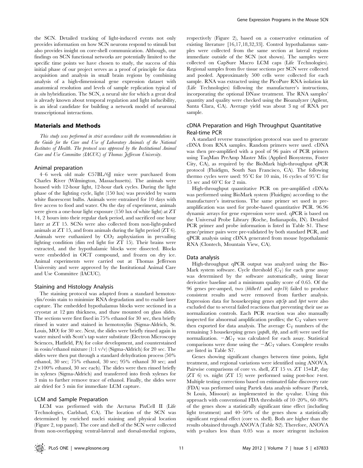the SCN. Detailed tracking of light-induced events not only provides information on how SCN neurons respond to stimuli but also provides insight on core-shell communication. Although, our findings on SCN functional networks are potentially limited to the specific time points we have chosen to study, the success of this initial phase of our project serves as a proof of principle for data acquisition and analysis in small brain regions by combining analysis of a high-dimensional gene expression dataset with anatomical resolution and levels of sample replication typical of in situ hybridization. The SCN, a neural site for which a great deal is already known about temporal regulation and light inducibility, is an ideal candidate for building a network model of neuronal transcriptional interactions.

#### Materials and Methods

This study was performed in strict accordance with the recommendations in the Guide for the Care and Use of Laboratory Animals of the National Institutes of Health. The protocol was approved by the Institutional Animal Care and Use Committee (IACUC) of Thomas Jefferson University.

#### Animal preparation

4–6 week old male C57BL/6J mice were purchased from Charles River (Wilmington, Massachusetts). The animals were housed with 12-hour light, 12-hour dark cycles. During the light phase of the lighting cycle, light (150 lux) was provided by warm white fluorescent bulbs. Animals were entrained for 10 days with free access to food and water. On the day of experiment, animals were given a one-hour light exposure (150 lux of white light) at ZT 14, 2 hours into their regular dark period, and sacrificed one hour later at ZT 15. SCNs were also collected from non-light-pulsed animals at ZT 15, and from animals during the light period (ZT 6). Animals were euthanized by  $CO<sub>2</sub>$  asphyxiation in prevailing lighting condition (dim red light for ZT 15). Their brains were extracted, and the hypothalamic blocks were dissected. Blocks were embedded in OCT compound, and frozen on dry ice. Animal experiments were carried out at Thomas Jefferson University and were approved by the Institutional Animal Care and Use Committee (IACUC).

## Staining and Histology Analysis

The staining protocol was adapted from a standard hemotoxylin/eosin stain to minimize RNA degradation and to enable laser capture. The embedded hypothalamus blocks were sectioned in a cryostat at 12  $\mu$ m thickness, and thaw mounted on glass slides. The sections were first fixed in 75% ethanol for 30 sec, then briefly rinsed in water and stained in hemotoxylin (Sigma-Aldrich, St. Louis, MO) for 30 sec. Next, the slides were briefly rinsed again in water mixed with Scott's tap water substitute (Electron Microscopy Sciences, Hatfield, PA) for color development, and counterstained in eosin/ethanol mixture (1:1 v/v) (Sigma-Aldrich) for 20 sec. The slides were then put through a standard dehydration process (50% ethanol, 30 sec; 75% ethanol, 30 sec; 95% ethanol 30 sec; and  $2 \times 100\%$  ethanol, 30 sec each). The slides were then rinsed briefly in xylenes (Sigma-Aldrich) and transferred into fresh xylenes for 3 min to further remove trace of ethanol. Finally, the slides were air dried for 5 min for immediate LCM capture.

## LCM and Sample Preparation

LCM was performed with the Arcturus PixCell II (Life Technologies, Carlsbad, CA). The location of the SCN was determined by enriched nuclei staining and physical location (Figure 2, top panel). The core and shell of the SCN were collected from non-overlapping ventral-lateral and dorsal-medial regions,

respectively (Figure 2), based on a conservative estimation of existing literature [16,17,18,32,33]. Control hypothalamus samples were collected from the same section at lateral regions immediate outside of the SCN (not shown). The samples were collected on CapSure Macro LCM caps (Life Technologies). Regional samples from five tissue sections per SCN were collected and pooled. Approximately 500 cells were collected for each sample. RNA was extracted using the PicoPure RNA isolation kit (Life Technologies) following the manufacturer's instructions, incorporating the optional DNase treatment. The RNA samples' quantity and quality were checked using the Bioanalyzer (Agilent, Santa Clara, CA). Average yield was about 3 ng of RNA per sample.

## cDNA Preparation and High Throughput Quantitative Real-time PCR

A standard reverse transcription protocol was used to generate cDNA from RNA samples. Random primers were used. cDNA was then pre-amplified with a pool of 96 pairs of PCR primers using TaqMan PreAmp Master Mix (Applied Biosystems, Foster City, CA), as required by the BioMark high-throughput qPCR protocol (Fluidigm, South San Francisco, CA). The following thermo cycles were used:  $95^{\circ}$ C for 10 min, 16 cycles of  $95^{\circ}$ C for 15 sec and  $60^{\circ}$ C for 2 min.

High-throughput quantitative PCR on pre-amplified cDNAs was performed using BioMark system (Fluidigm) according to the manufacturer's instructions. The same primer set used in preamplification was used for probe-based quantitative PCR. 96.96 dynamic arrays for gene expression were used. qPCR is based on the Universal Probe Library (Roche, Indianapolis, IN). Detailed PCR primer and probe information is listed in Table S1. These gene/primer pairs were pre-validated by both standard PCR, and qPCR analysis using cDNA generated from mouse hypothalamic RNA (Clontech, Mountain View, CA).

#### Data analysis

High-throughput qPCR output was analyzed using the Bio-Mark system software. Cycle threshold  $(C_T)$  for each gene assay was determined by the software automatically, using linear derivative baseline and a minimum quality score of 0.65. Of the 96 genes pre-amped, two (bhlhe41 and avpr1b) failed to produce consistent results and were removed from further analysis. Expression data for housekeeping genes *atp5p* and *hprt* were also excluded due to several failed reactions that preventing their use as normalization controls. Each PCR reaction was also manually inspected for abnormal amplification profiles; the  $C_T$  values were then exported for data analysis. The average  $C_T$  numbers of the remaining 3 housekeeping genes (gapdh, tbp, and actb) were used for normalization.  $-\Delta C_T$  was calculated for each assay. Statistical comparisons were done using the  $-\Delta C_T$  values. Complete results are listed in Table S7.

Genes showing significant changes between time points, light treatment, and regional variations were identified using ANOVA. Pairwise comparisons of core vs. shell, ZT 15 vs. ZT 15+LP, day  $(ZT_6)$  vs. night  $(ZT_15)$  were performed using post-hoc *t*-test. Multiple testing corrections based on estimated false discovery rate (FDA) was performed using Partek data analysis software (Partek, St Louis, Missouri) as implemented in the q-value. Using this approach with conventional FDA thresholds of 10–20%, 60–80% of the genes show a statistically significant time effect (including light treatment) and 40–50% of the genes show a statistically significant regional effect (core vs. shell). Both are higher than the results obtained through ANOVA (Table S2). Therefore, ANOVA with p-values less than 0.05 was a more stringent inclusion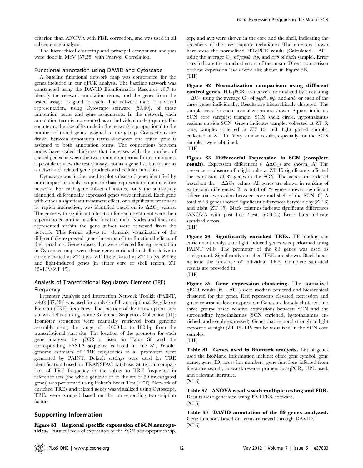criterion than ANOVA with FDR correction, and was used in all subsequence analysis.

The hierarchical clustering and principal component analyses were done in MeV [57,58] with Pearson Correlation.

## Functional annotation using DAVID and Cytoscape

A baseline functional network map was constructed for the genes included in our qPCR analysis. The baseline network was constructed using the DAVID Bioinformatics Resource v6.7 to identify the relevant annotation terms, and the genes from the tested assays assigned to each. The network map is a visual representation, using Cytoscape software [59,60], of those annotation terms and gene assignments. In the network, each annotation term is represented as an individual node (square). For each term, the size of its node in the network is proportional to the number of tested genes assigned to the group. Connections are drawn between annotation terms whenever one tested gene is assigned to both annotation terms. The connections between nodes have scaled thickness that increases with the number of shared genes between the two annotation terms. In this manner it is possible to view the tested assays not as a gene list, but rather as a network of related gene products and cellular functions.

Cytoscape was further used to plot subsets of genes identified by our comparison analyses upon the base representation of the entire network. For each gene subset of interest, only the statistically identified, differentially expressed genes were included. Each gene with either a significant treatment effect, or a significant treatment by region interaction, was identified based on its  $\Delta\Delta C_T$  values. The genes with significant alteration for each treatment were then superimposed on the baseline function map. Nodes and lines not represented within the gene subset were removed from the network. This format allows for dynamic visualization of the differentially expressed genes in terms of the functional effects of their products. Gene subsets that were selected for representation in Cytospace maps were those genes enriched in shell (relative to core); elevated at ZT 6 (vs. ZT 15); elevated at ZT 15 (vs. ZT 6); and light-induced genes (in either core or shell region, ZT  $15+LP > ZT$  15).

## Analysis of Transcriptional Regulatory Element (TRE) Frequency

Promoter Analysis and Interaction Network Toolkit (PAINT, v.4.0; [37,38]) was used for analysis of Transcriptional Regulatory Element (TRE) frequency. The location of the transcription start site was defined using mouse Reference Sequences Collection [61]. Promoter sequences were manually retrieved from genome assembly using the range of  $-1000$  bp to 100 bp from the transcriptional start site. The location of the promoter for each gene analyzed by qPCR is listed in Table S8 and the corresponding FASTA sequence is listed in File S2. Wholegenome estimates of TRE frequencies in all promoters were generated by PAINT. Default settings were used for TRE identification based on TRANSFAC database. Statistical comparison of TRE frequency in the subset to TRE frequency in reference sets (the whole genome or to the set of 89 investigated genes) was performed using Fisher's Exact Test (FET). Network of enriched TREs and related genes was visualized using Cytoscape. TREs were grouped based on the corresponding transcription factors

## Supporting Information

Figure S1 Regional specific expression of SCN neuropetides. Distinct levels of expression of the SCN neuropeptides vip,

grp, and avp were shown in the core and the shell, indicating the specificity of the laser capture techniques. The numbers shown here were the normalized HTqPCR results (Calculated  $-\Delta C_T$ ) using the average  $C_T$  of *gapdh*, tbp, and actb of each sample). Error bars indicate the standard errors of the mean. Direct comparison of these expression levels were also shown in Figure 5B. (TIF)

Figure S2 Normalization comparison using different control genes. HTqPCR results were normalized by calculating  $-\Delta C_T$  using the average  $C_T$  of *gapdh*, tbp, and *actb*, or each of the three genes individually. Results are hierarchically clustered. The sample trees for each normalization are shown. Square indicates SCN core samples; triangle, SCN shell; circle, hypothalamus regions outside SCN. Green indicates samples collected at ZT 6; blue, samples collected at ZT 15; red, light pulsed samples collected at ZT 15. Very similar results, especially for the SCN samples, were obtained.

(TIF)

Figure S3 Differential Expression in SCN (complete result). Expression differences  $(-\Delta \Delta C_T)$  are shown. A) The presence or absence of a light pulse at ZT 15 significantly affected the expression of 32 genes in the SCN. The genes are ordered based on the  $-\Delta\Delta C_T$  values. All genes are shown in ranking of expression differences. B) A total of 29 genes showed significant differential expression between core and shell of the SCN. C) A total of 26 genes showed significant differences between day (ZT 6) and night (ZT 15). Black columns indicate significant differences (ANOVA with post hoc t-test,  $p<0.05$ ) Error bars indicate standard errors.

(TIF)

Figure S4 Significantly enriched TREs. TF binding site enrichment analysis on light-induced genes was performed using PAINT v4.0. The promoter of the 89 genes was used as background. Significantly enriched TREs are shown. Black boxes indicate the presence of individual TRE. Complete statistical results are provided in.

(TIF)

Figure S5 Gene expression clustering. The normalized qPCR results (in  $-\Delta C_T$ ) were median centered and hierarchical clustered for the genes. Red represents elevated expression and green represents lower expression. Genes are loosely clustered into three groups based relative expressions between SCN and the surrounding hypothalamus (SCN enriched, hypothalamus enriched, and evenly expressed). Genes that respond strongly to light exposure at night (ZT 15+LP) can be visualized in the SCN core samples.



Table S1 Genes used in Biomark analysis. List of genes used the BioMark. Information include: office gene symbol, gene name, gene\_ID, accession numbers, gene functions inferred from literature search, forward/reverse primers for qPCR, UPL used, and relevant literature.

(XLS)

Table S2 ANOVA results with multiple testing and FDR. Results were generated using PARTEK software. (XLS)

Table S3 DAVID annotation of the 89 genes analyzed. Gene functions based on terms retrieved through DAVID. (XLS)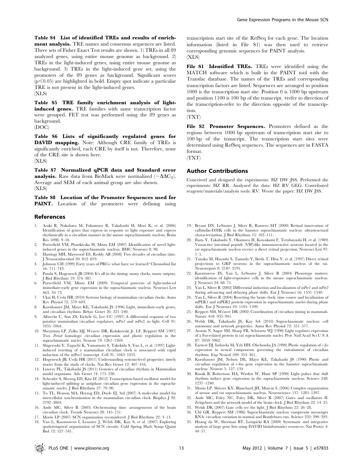Table S4 List of identified TREs and results of enrichment analysis. TRE names and consensus sequences are listed. Three sets of Fisher Exact Test results are shown. 1) TREs in all 89 analyzed genes, using entire mouse genome as background. 2) TREs in the light-induced genes, using entire mouse genome as background. 3) TREs in the light-induced gene set, using the promoters of the 89 genes as background. Significant scores  $(p<0.05)$  are highlighted in bold. Empty spot indicate a particular TRE is not present in the light-induced genes. (XLS)

Table S5 TRE family enrichment analysis of lightinduced genes. TRE families with same transcription factor were grouped. FET test was performed using the 89 genes as background.

(DOC)

Table S6 Lists of significantly regulated genes for DAVID mapping. Note: Although CRE family of TREs is significantly enriched, each CRE by itself is not. Therefore, none of the CRE site is shown here. (XLS)

Table S7 Normalized qPCR data and Standard error **analysis.** Raw data from BioMark were normalized  $(-\Delta \Delta C_T)$ . Average and SEM of each animal group are also shown. (XLS)

Table S8 Location of the Promoter Sequences used for PAINT. Location of the promoters were defining using

## References

- 1. Araki R, Nakahara M, Fukumura R, Takahashi H, Mori K, et al. (2006) Identification of genes that express in response to light exposure and express rhythmically in a circadian manner in the mouse suprachiasmatic nucleus. Brain Res 1098: 9–18.
- 2. Porterfield VM, Piontkivska H, Mintz EM (2007) Identification of novel lightinduced genes in the suprachiasmatic nucleus. BMC Neurosci 8: 98.
- 3. Hastings MH, Maywood ES, Reddy AB (2008) Two decades of circadian time. J Neuroendocrinol 20: 812–819.
- 4. Johnson CH (1999) Forty years of PRCs–what have we learned? Chronobiol Int 16: 711–743.
- 5. Panda S, Hogenesch JB (2004) It's all in the timing: many clocks, many outputs. J Biol Rhythms 19: 374–387.
- 6. Porterfield VM, Mintz EM (2009) Temporal patterns of light-induced immediate-early gene expression in the suprachiasmatic nucleus. Neurosci Lett 463: 70–73.
- 7. Ukai H, Ueda HR (2010) Systems biology of mammalian circadian clocks. Annu Rev Physiol 72: 579–603.
- 8. Kornhauser JM, Mayo KE, Takahashi JS (1996) Light, immediate-early genes, and circadian rhythms. Behav Genet 26: 221–240.
- 9. Albrecht U, Sun ZS, Eichele G, Lee CC (1997) A differential response of two putative mammalian circadian regulators, mPer1 and mPer2, to light. Cell 91: 1055–1064.
- 10. Shearman LP, Zylka MJ, Weaver DR, Kolakowski Jr. LF, Reppert SM (1997) Two Period homologs: circadian expression and photic regulation in the suprachiasmatic nuclei. Neuron 19: 1261-1269.
- 11. Shigeyoshi Y, Taguchi K, Yamamoto S, Takekida S, Yan L, et al. (1997) Lightinduced resetting of a mammalian circadian clock is associated with rapid induction of the mPer1 transcript. Cell 91: 1043–1053.
- 12. Hogenesch JB, Ueda HR (2011) Understanding systems-level properties: timely stories from the study of clocks. Nat Rev Genet 12: 407–416.
- 13. Lowrey PL, Takahashi JS (2011) Genetics of circadian rhythms in Mammalian model organisms. Adv Genet 74: 175–230.
- 14. Schroder S, Herzog ED, Kiss IZ (2012) Transcription-based oscillator model for light-induced splitting as antiphase circadian gene expression in the suprachiasmatic nuclei. J Biol Rhythms 27: 79–90.
- 15. To TL, Henson MA, Herzog ED, Doyle FJ, 3rd (2007) A molecular model for intercellular synchronization in the mammalian circadian clock. Biophys J 92: 3792–3803.
- 16. Antle MC, Silver R (2005) Orchestrating time: arrangements of the brain circadian clock. Trends Neurosci 28: 145–151.
- 17. Morin LP (2007) SCN organization reconsidered. J Biol Rhythms 22: 3–13.
- 18. Yan L, Karatsoreos I, Lesauter J, Welsh DK, Kay S, et al. (2007) Exploring patiotemporal organization of SCN circuits. Cold Spring Harb Symp Quant  $\overrightarrow{B}$ iol 79: 597–541.

transcription start site of the RefSeq for each gene. The location information (listed in File S1) was then used to retrieve corresponding genomic sequences for PAINT analysis. (XLS)

File S1 Identified TREs. TREs were identified using the MATCH software which is built in the PAINT tool with the Transfac database. The names of the TREs and corresponding transcription factors are listed. Sequences are arranged so position 1000 is the transcription start site. Position 0 is 1000 bp upstream and position 1100 is 100 bp of the transcript. +refer to direction of the transcription-refer to the direction opposite of the transcription.

(TXT)

File S2 Promoter Sequences. Promoters defined as the regions between 1000 bp upstream of transcription start site to 100 bp of the transcript. The transcription start sites were determined using RefSeq sequences. The sequences are in FASTA format.

(TXT)

#### Author Contributions

Conceived and designed the experiments: HZ DW JSS. Performed the experiments: HZ RR. Analyzed the data: HZ RV GEG. Contributed reagents/materials/analysis tools: RV. Wrote the paper: HZ DW JSS.

- 19. Bryant DN, LeSauter J, Silver R, Romero MT (2000) Retinal innervation of calbindin-D28K cells in the hamster suprachiasmatic nucleus: ultrastructural characterization. J Biol Rhythms 15: 103–111.
- 20. Ibata Y, Takahashi Y, Okamura H, Kawakami F, Terubayashi H, et al. (1989) Vasoactive intestinal peptide (VIP)-like immunoreactive neurons located in the rat suprachiasmatic nucleus receive a direct retinal projection. Neurosci Lett 97: 1–5.
- 21. Tanaka M, Hayashi S, Tamada Y, Ikeda T, Hisa Y, et al. (1997) Direct retinal projections to GRP neurons in the suprachiasmatic nucleus of the rat. Neuroreport 8: 2187–2191.
- 22. Karatsoreos IN, Yan L, LeSauter J, Silver R (2004) Phenotype matters: identification of light-responsive cells in the mouse suprachiasmatic nucleus. J Neurosci 24: 68–75.
- 23. Yan L, Silver R (2002) Differential induction and localization of mPer1 and mPer2 during advancing and delaying phase shifts. Eur J Neurosci 16: 1531–1540.
- 24. Yan L, Silver R (2004) Resetting the brain clock: time course and localization of mPER1 and mPER2 protein expression in suprachiasmatic nuclei during phase shifts. Eur J Neurosci 19: 1105–1109.
- 25. Reppert SM, Weaver DR (2002) Coordination of circadian timing in mammals. Nature 418: 935–941.
- 26. Welsh DK, Takahashi JS, Kay SA (2010) Suprachiasmatic nucleus: cell autonomy and network properties. Annu Rev Physiol 72: 551–577.
- 27. Aronin N, Sagar SM, Sharp FR, Schwartz WJ (1990) Light regulates expression of a Fos-related protein in rat suprachiasmatic nuclei. Proc Natl Acad Sci U S A 87: 5959–5962.
- 28. Earnest DJ, Iadarola M, Yeh HH, Olschowka JA (1990) Photic regulation of  $c$ -fos expression in neural components governing the entrainment of circadian rhythms. Exp Neurol 109: 353–361.
- 29. Kornhauser JM, Nelson DE, Mayo KE, Takahashi JS (1990) Photic and circadian regulation of c-fos gene expression in the hamster suprachiasmatic nucleus. Neuron 5: 127–134.
- 30. Rusak B, Robertson HA, Wisden W, Hunt SP (1990) Light pulses that shift rhythms induce gene expression in the suprachiasmatic nucleus. Science 248: 1237–1240.
- 31. Morin LP, Shivers KY, Blanchard JH, Muscat L (2006) Complex organization of mouse and rat suprachiasmatic nucleus. Neuroscience 137: 1285–1297.
- 32. Antle MC, Foley NC, Foley DK, Silver R (2007) Gates and oscillators II: Zeitgebers and the network model of the brain clock. J Biol Rhythms 22: 14–25.
- 33. Welsh DK (2007) Gate cells see the light. J Biol Rhythms 22: 26–28.
- 34. Uhl GR, Reppert SM (1986) Suprachiasmatic nucleus vasopressin messenger RNA: circadian variation in normal and Brattleboro rats. Science 232: 390–393.
- 35. Huang da W, Sherman BT, Lempicki RA (2009) Systematic and integrative analysis of large gene lists using DAVID bioinformatics resources. Nat Protoc 4: 44–57.